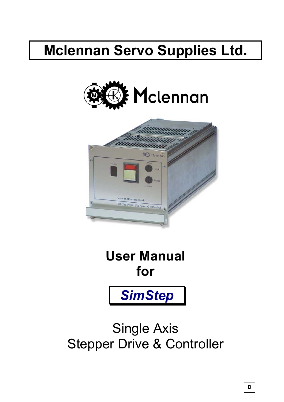# **Mclennan Servo Supplies Ltd.**





**User Manual for**



Single Axis Stepper Drive & Controller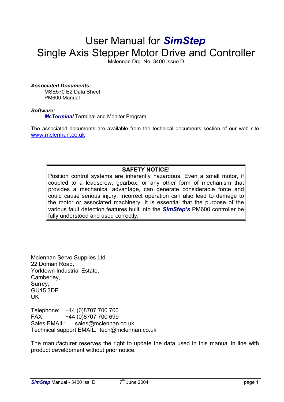## User Manual for *SimStep* Single Axis Stepper Motor Drive and Controller

Mclennan Drg. No. 3400 Issue D

#### *Associated Documents:*

MSE570 E2 Data Sheet PM600 Manual

#### *Software:*

*McTerminal* Terminal and Monitor Program

The associated documents are available from the technical documents section of our web site [www.mclennan.co.uk](http://www.mclennan.co.uk/technical_manuals.html)

## **SAFETY NOTICE!**

Position control systems are inherently hazardous. Even a small motor, if coupled to a leadscrew, gearbox, or any other form of mechanism that provides a mechanical advantage, can generate considerable force and could cause serious injury. Incorrect operation can also lead to damage to the motor or associated machinery. It is essential that the purpose of the various fault detection features built into the *SimStep's* PM600 controller be fully understood and used correctly.

Mclennan Servo Supplies Ltd. 22 Doman Road, Yorktown Industrial Estate, Camberley, Surrey, GU15 3DF UK

Telephone: +44 (0)8707 700 700 FAX: +44 (0)8707 700 699 Sales EMAIL: sales@mclennan.co.uk Technical support EMAIL: tech@mclennan.co.uk

The manufacturer reserves the right to update the data used in this manual in line with product development without prior notice.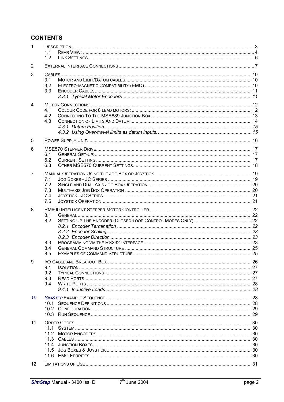## **CONTENTS**

| 1              | 11<br>1.2                       |  |
|----------------|---------------------------------|--|
| 2              |                                 |  |
| 3              | 3.1<br>3.2<br>3.3               |  |
| 4              | 4.1<br>4.2<br>4.3               |  |
| 5              |                                 |  |
| 6              | 6.1<br>6.2<br>6.3               |  |
| $\overline{7}$ | 7.1<br>7.2<br>7.3<br>7.4<br>7.5 |  |
| 8              | 8.1<br>8.2<br>8.3<br>8.4        |  |
|                | 8.5                             |  |
| 9              | 9.1<br>9.2<br>9.3<br>9.4        |  |
| 10             |                                 |  |
| 11             | 11.4                            |  |
|                | 11.5<br>11.6                    |  |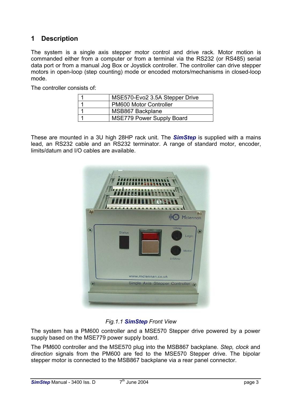## <span id="page-3-0"></span>**1 Description**

The system is a single axis stepper motor control and drive rack. Motor motion is commanded either from a computer or from a terminal via the RS232 (or RS485) serial data port or from a manual Jog Box or Joystick controller. The controller can drive stepper motors in open-loop (step counting) mode or encoded motors/mechanisms in closed-loop mode.

The controller consists of:

| MSE570-Evo2 3.5A Stepper Drive   |
|----------------------------------|
| <b>PM600 Motor Controller</b>    |
| MSB867 Backplane                 |
| <b>MSE779 Power Supply Board</b> |

These are mounted in a 3U high 28HP rack unit. The *SimStep* is supplied with a mains lead, an RS232 cable and an RS232 terminator. A range of standard motor, encoder, limits/datum and I/O cables are available.



## *Fig.1.1 SimStep Front View*

The system has a PM600 controller and a MSE570 Stepper drive powered by a power supply based on the MSE779 power supply board.

The PM600 controller and the MSE570 plug into the MSB867 backplane. *Step, clock* and *direction* signals from the PM600 are fed to the MSE570 Stepper drive. The bipolar stepper motor is connected to the MSB867 backplane via a rear panel connector.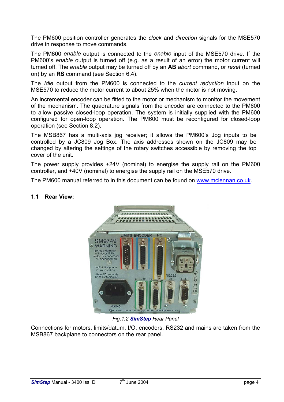The PM600 position controller generates the *clock* and *direction* signals for the MSE570 drive in response to move commands.

The PM600 *enable* output is connected to the *enable* input of the MSE570 drive. If the PM600's *enable* output is turned off (e.g. as a result of an error) the motor current will turned off. The *enable* output may be turned off by an **AB** *abort* command, or *reset* (turned on) by an **RS** command (see Section 6.4).

The *Idle* output from the PM600 is connected to the *current reduction* input on the MSE570 to reduce the motor current to about 25% when the motor is not moving.

An incremental encoder can be fitted to the motor or mechanism to monitor the movement of the mechanism. The quadrature signals from the encoder are connected to the PM600 to allow passive closed-loop operation. The system is initially supplied with the PM600 configured for open-loop operation. The PM600 must be reconfigured for closed-loop operation (see Section 8.2).

The MSB867 has a multi-axis jog receiver; it allows the PM600's Jog inputs to be controlled by a JC809 Jog Box. The axis addresses shown on the JC809 may be changed by altering the settings of the rotary switches accessible by removing the top cover of the unit.

The power supply provides +24V (nominal) to energise the supply rail on the PM600 controller, and +40V (nominal) to energise the supply rail on the MSE570 drive.

The PM600 manual referred to in this document can be found on [www.mclennan.co.uk.](http://www.mclennan.co.uk/technical_manuals.html)



## <span id="page-4-0"></span>**1.1 Rear View:**

*Fig.1.2 SimStep Rear Panel*

Connections for motors, limits/datum, I/O, encoders, RS232 and mains are taken from the MSB867 backplane to connectors on the rear panel.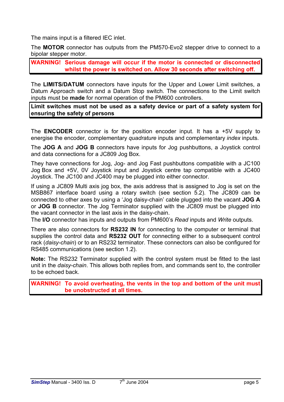The mains input is a filtered IEC inlet.

The **MOTOR** connector has outputs from the PM570-Evo2 stepper drive to connect to a bipolar stepper motor.

**WARNING! Serious damage will occur if the motor is connected or disconnected whilst the power is switched on. Allow 30 seconds after switching off.**

The **LIMITS/DATUM** connectors have inputs for the Upper and Lower Limit switches, a Datum Approach switch and a Datum Stop switch. The connections to the Limit switch inputs must be **made** for normal operation of the PM600 controllers.

**Limit switches must not be used as a safety device or part of a safety system for ensuring the safety of persons**

The **ENCODER** connector is for the position encoder input. It has a +5V supply to energise the encoder, complementary *quadrature* inputs and complementary *index* inputs.

The **JOG A** and **JOG B** connectors have inputs for Jog pushbuttons, a Joystick control and data connections for a JC809 Jog Box.

They have connections for Jog, Jog- and Jog Fast pushbuttons compatible with a JC100 Jog Box and +5V, 0V Joystick input and Joystick centre tap compatible with a JC400 Joystick. The JC100 and JC400 may be plugged into either connector.

If using a JC809 Multi axis jog box, the axis address that is assigned to Jog is set on the MSB867 interface board using a rotary switch (see section 5.2). The JC809 can be connected to other axes by using a 'Jog daisy-chain' cable plugged into the vacant **JOG A** or **JOG B** connector. The Jog Terminator supplied with the JC809 must be plugged into the vacant connector in the last axis in the daisy-chain.

The **I/O** connector has inputs and outputs from PM600's *Read* inputs and *Write* outputs.

There are also connectors for **RS232 IN** for connecting to the computer or terminal that supplies the control data and **RS232 OUT** for connecting either to a subsequent control rack (*daisy-chain*) or to an RS232 terminator. These connectors can also be configured for RS485 communications (see section 1.2).

**Note:** The RS232 Terminator supplied with the control system must be fitted to the last unit in the *daisy-chain*. This allows both replies from, and commands sent to, the controller to be echoed back.

**WARNING! To avoid overheating, the vents in the top and bottom of the unit must be unobstructed at all times.**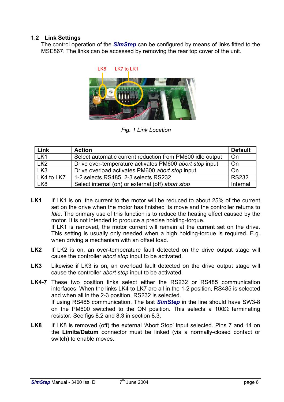## **1.2 Link Settings**

<span id="page-6-0"></span>The control operation of the *SimStep* can be configured by means of links fitted to the MSE867. The links can be accessed by removing the rear top cover of the unit.



*Fig. 1 Link Location*

| Link            | <b>Action</b>                                             | <b>Default</b> |
|-----------------|-----------------------------------------------------------|----------------|
| LK1             | Select automatic current reduction from PM600 idle output | On             |
| LK <sub>2</sub> | Drive over-temperature activates PM600 abort stop input   | On             |
| LK <sub>3</sub> | Drive overload activates PM600 abort stop input           | On             |
| LK4 to LK7      | 1-2 selects RS485, 2-3 selects RS232                      | <b>RS232</b>   |
| LK <sub>8</sub> | Select internal (on) or external (off) abort stop         | Internal       |

LK1 If LK1 is on, the current to the motor will be reduced to about 25% of the current set on the drive when the motor has finished its move and the controller returns to *Idle*. The primary use of this function is to reduce the heating effect caused by the motor. It is not intended to produce a precise holding-torque.

If LK1 is removed, the motor current will remain at the current set on the drive. This setting is usually only needed when a high holding-torque is required. E.g. when driving a mechanism with an offset load.

- LK2 If LK2 is on, an over-temperature fault detected on the drive output stage will cause the controller *abort stop* input to be activated.
- LK3 Likewise if LK3 is on, an overload fault detected on the drive output stage will cause the controller *abort stop* input to be activated.
- **LK4-7** These two position links select either the RS232 or RS485 communication interfaces. When the links LK4 to LK7 are all in the 1-2 position, RS485 is selected and when all in the 2-3 position, RS232 is selected. If using RS485 communication, The last *SimStep* in the line should have SW3-8 on the PM600 switched to the ON position. This selects a 100 $\Omega$  terminating resistor. See figs 8.2 and 8.3 in section 8.3.
- LK8 If LK8 is removed (off) the external 'Abort Stop' input selected. Pins 7 and 14 on the **Limits/Datum** connector must be linked (via a normally-closed contact or switch) to enable moves.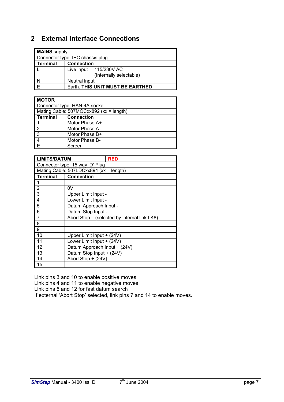## <span id="page-7-0"></span>**2 External Interface Connections**

| <b>MAINS</b> supply |                                  |  |  |  |  |
|---------------------|----------------------------------|--|--|--|--|
|                     | Connector type: IEC chassis plug |  |  |  |  |
| Terminal            | <b>Connection</b>                |  |  |  |  |
|                     | Live input 115/230V AC           |  |  |  |  |
|                     | (Internally selectable)          |  |  |  |  |
| $\frac{N}{E}$       | Neutral input                    |  |  |  |  |
|                     | Earth. THIS UNIT MUST BE EARTHED |  |  |  |  |

| <b>MOTOR</b>            |                                         |  |  |
|-------------------------|-----------------------------------------|--|--|
|                         | Connector type: HAN-4A socket           |  |  |
|                         | Mating Cable: 507MOCxx892 (xx = length) |  |  |
| Terminal                | <b>Connection</b>                       |  |  |
|                         | Motor Phase A+                          |  |  |
| $\sqrt{2}$              | Motor Phase A-                          |  |  |
| $\overline{\mathbf{3}}$ | Motor Phase B+                          |  |  |
| $\frac{4}{1}$           | Motor Phase B-                          |  |  |
| 下                       | Screen                                  |  |  |

| <b>LIMITS/DATUM</b>             | <b>RED</b>                                   |  |
|---------------------------------|----------------------------------------------|--|
| Connector type: 15 way 'D' Plug |                                              |  |
|                                 | Mating Cable: 507LDCxx894 (xx = length)      |  |
| <b>Terminal</b>                 | <b>Connection</b>                            |  |
| 1                               |                                              |  |
| $\frac{2}{3}$                   | 0V                                           |  |
|                                 | Upper Limit Input -                          |  |
| $\overline{4}$                  | Lower Limit Input -                          |  |
| 5                               | Datum Approach Input -                       |  |
| $\overline{6}$                  | Datum Stop Input -                           |  |
| $\overline{7}$                  | Abort Stop - (selected by internal link LK8) |  |
| $\overline{8}$                  |                                              |  |
| 9                               |                                              |  |
| 10                              | Upper Limit Input + (24V)                    |  |
| 11                              | Lower Limit Input + (24V)                    |  |
| 12                              | Datum Approach Input + (24V)                 |  |
| 13                              | Datum Stop Input + (24V)                     |  |
| 14                              | Abort Stop + (24V)                           |  |
| 15                              |                                              |  |

Link pins 3 and 10 to enable positive moves Link pins 4 and 11 to enable negative moves Link pins 5 and 12 for fast datum search If external 'Abort Stop' selected, link pins 7 and 14 to enable moves.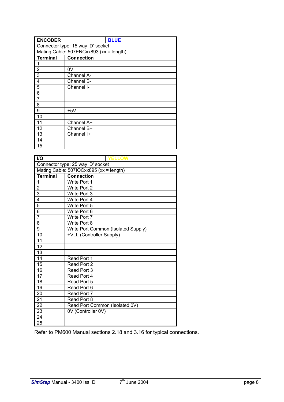| <b>ENCODER</b>                    | <b>BLUE</b>                             |  |  |  |
|-----------------------------------|-----------------------------------------|--|--|--|
| Connector type: 15 way 'D' socket |                                         |  |  |  |
|                                   | Mating Cable: 507ENCxx893 (xx = length) |  |  |  |
| <b>Terminal</b>                   | <b>Connection</b>                       |  |  |  |
| 1                                 |                                         |  |  |  |
| $\overline{2}$                    | 0V                                      |  |  |  |
| 3                                 | Channel A-                              |  |  |  |
| 4                                 | Channel B-                              |  |  |  |
| 5                                 | Channel I-                              |  |  |  |
| 6                                 |                                         |  |  |  |
| 7                                 |                                         |  |  |  |
| 8                                 |                                         |  |  |  |
| 9                                 | $+5V$                                   |  |  |  |
| 10                                |                                         |  |  |  |
| 11                                | Channel A+                              |  |  |  |
| 12                                | Channel B+                              |  |  |  |
| 13                                | Channel I+                              |  |  |  |
| 14                                |                                         |  |  |  |
| 15                                |                                         |  |  |  |

| I/O                                     | <b>YELLOW</b>                       |  |  |  |
|-----------------------------------------|-------------------------------------|--|--|--|
| Connector type: 25 way 'D' socket       |                                     |  |  |  |
| Mating Cable: 507IOCxx895 (xx = length) |                                     |  |  |  |
| <b>Terminal</b>                         | <b>Connection</b>                   |  |  |  |
| 1                                       | Write Port 1                        |  |  |  |
| $\overline{2}$                          | Write Port 2                        |  |  |  |
| $\overline{3}$                          | Write Port 3                        |  |  |  |
| 4                                       | Write Port 4                        |  |  |  |
| 5                                       | Write Port 5                        |  |  |  |
| 6                                       | Write Port 6                        |  |  |  |
| $\overline{7}$                          | Write Port 7                        |  |  |  |
| 8                                       | Write Port 8                        |  |  |  |
| 9                                       | Write Port Common (Isolated Supply) |  |  |  |
| 10                                      | +VLL (Controller Supply)            |  |  |  |
| 11                                      |                                     |  |  |  |
| 12                                      |                                     |  |  |  |
| 13                                      |                                     |  |  |  |
| 14                                      | Read Port 1                         |  |  |  |
| 15                                      | Read Port 2                         |  |  |  |
| 16                                      | Read Port 3                         |  |  |  |
| 17                                      | Read Port 4                         |  |  |  |
| 18                                      | Read Port 5                         |  |  |  |
| 19                                      | Read Port 6                         |  |  |  |
| 20                                      | Read Port 7                         |  |  |  |
| 21                                      | Read Port 8                         |  |  |  |
| $\overline{22}$                         | Read Port Common (Isolated 0V)      |  |  |  |
| 23                                      | 0V (Controller 0V)                  |  |  |  |
| 24                                      |                                     |  |  |  |
| 25                                      |                                     |  |  |  |

Refer to PM600 Manual sections 2.18 and 3.16 for typical connections.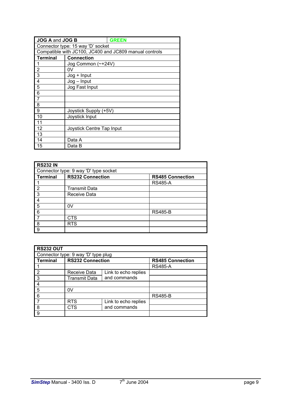| JOG A and JOG B                   | <b>GREEN</b>                                           |  |  |
|-----------------------------------|--------------------------------------------------------|--|--|
| Connector type: 15 way 'D' socket |                                                        |  |  |
|                                   | Compatible with JC100, JC400 and JC809 manual controls |  |  |
| <b>Terminal</b>                   | <b>Connection</b>                                      |  |  |
| 1                                 | Jog Common (~+24V)                                     |  |  |
| 2                                 | 0V                                                     |  |  |
| 3                                 | $Jog + Input$                                          |  |  |
| 4                                 | $Jog - Input$                                          |  |  |
| 5                                 | Jog Fast Input                                         |  |  |
| 6                                 |                                                        |  |  |
| 7                                 |                                                        |  |  |
| 8                                 |                                                        |  |  |
| 9                                 | Joystick Supply (+5V)                                  |  |  |
| 10                                | Joystick Input                                         |  |  |
| 11                                |                                                        |  |  |
| 12                                | Joystick Centre Tap Input                              |  |  |
| 13                                |                                                        |  |  |
| 14                                | Data A                                                 |  |  |
| 15                                | Data B                                                 |  |  |

| <b>RS232 IN</b> |                                       |                         |  |  |
|-----------------|---------------------------------------|-------------------------|--|--|
|                 | Connector type: 9 way 'D' type socket |                         |  |  |
| <b>Terminal</b> | <b>RS232 Connection</b>               | <b>RS485 Connection</b> |  |  |
|                 |                                       | <b>RS485-A</b>          |  |  |
| 2               | <b>Transmit Data</b>                  |                         |  |  |
| 3               | Receive Data                          |                         |  |  |
|                 |                                       |                         |  |  |
| 5               | 0V                                    |                         |  |  |
| 6               |                                       | <b>RS485-B</b>          |  |  |
|                 | CTS                                   |                         |  |  |
| 8               | <b>RTS</b>                            |                         |  |  |
| 9               |                                       |                         |  |  |

| <b>RS232 OUT</b> |                                     |                      |                         |
|------------------|-------------------------------------|----------------------|-------------------------|
|                  | Connector type: 9 way 'D' type plug |                      |                         |
| <b>Terminal</b>  | <b>RS232 Connection</b>             |                      | <b>RS485 Connection</b> |
|                  |                                     |                      | <b>RS485-A</b>          |
| $\overline{2}$   | Receive Data                        | Link to echo replies |                         |
| l 3              | <b>Transmit Data</b>                | and commands         |                         |
| $\overline{4}$   |                                     |                      |                         |
| 5                | 0V                                  |                      |                         |
| 6                |                                     |                      | <b>RS485-B</b>          |
|                  | <b>RTS</b>                          | Link to echo replies |                         |
| 8                | CTS                                 | and commands         |                         |
| l 9              |                                     |                      |                         |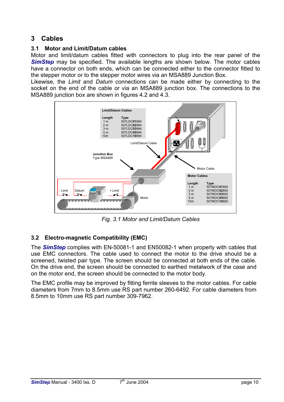## <span id="page-10-0"></span>**3 Cables**

## <span id="page-10-1"></span>**3.1 Motor and Limit/Datum cables**

Motor and limit/datum cables fitted with connectors to plug into the rear panel of the **SimStep** may be specified. The available lengths are shown below. The motor cables have a connector on both ends, which can be connected either to the connector fitted to the stepper motor or to the stepper motor wires via an MSA889 Junction Box.

Likewise, the *Limit* and *Datum* connections can be made either by connecting to the socket on the end of the cable or via an MSA889 junction box. The connections to the MSA889 junction box are shown in figures 4.2 and 4.3.



*Fig. 3.1 Motor and Limit/Datum Cables*

## <span id="page-10-2"></span>**3.2 Electro-magnetic Compatibility (EMC)**

The *SimStep* complies with EN-50081-1 and EN50082-1 when properly with cables that use EMC connectors. The cable used to connect the motor to the drive should be a screened, twisted pair type. The screen should be connected at both ends of the cable. On the drive end, the screen should be connected to earthed metalwork of the case and on the motor end, the screen should be connected to the motor body.

The EMC profile may be improved by fitting ferrite sleeves to the motor cables. For cable diameters from 7mm to 8.5mm use RS part number 260-6492. For cable diameters from 8.5mm to 10mm use RS part number 309-7962.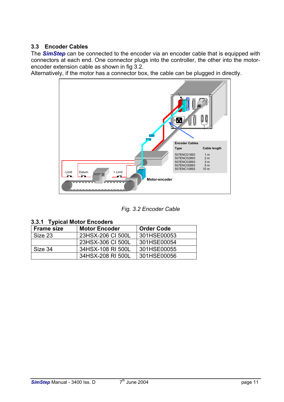## <span id="page-11-0"></span>**3.3 Encoder Cables**

The *SimStep* can be connected to the encoder via an encoder cable that is equipped with connectors at each end. One connector plugs into the controller, the other into the motorencoder extension cable as shown in fig 3.2.

Alternatively, if the motor has a connector box, the cable can be plugged in directly.



*Fig. 3.2 Encoder Cable*

<span id="page-11-1"></span>

|  |  |  | 3.3.1 Typical Motor Encoders |
|--|--|--|------------------------------|
|--|--|--|------------------------------|

| <b>Frame size</b> | <b>Motor Encoder</b> | <b>Order Code</b> |
|-------------------|----------------------|-------------------|
| Size 23           | 23HSX-206 CI 500L    | 301HSE00053       |
|                   | 23HSX-306 CI 500L    | 301HSE00054       |
| Size 34           | 34HSX-108 RI 500L    | 301HSE00055       |
|                   | 34HSX-208 RI 500L    | 301HSE00056       |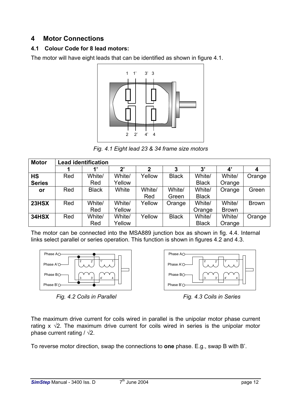## <span id="page-12-0"></span>**4 Motor Connections**

## <span id="page-12-1"></span>**4.1 Colour Code for 8 lead motors:**

The motor will have eight leads that can be identified as shown in figure 4.1.



*Fig. 4.1 Eight lead 23 & 34 frame size motors*

| <b>Motor</b>  |     | <b>Lead identification</b> |        |        |              |              |                       |              |
|---------------|-----|----------------------------|--------|--------|--------------|--------------|-----------------------|--------------|
|               |     | $\mathbf{1}$               | 2'     | 2      | 3            | 3'           | $\mathbf{4}^{\prime}$ | 4            |
| <b>HS</b>     | Red | White/                     | White/ | Yellow | <b>Black</b> | White/       | White/                | Orange       |
| <b>Series</b> |     | Red                        | Yellow |        |              | <b>Black</b> | Orange                |              |
| or            | Red | <b>Black</b>               | White  | White/ | White/       | White/       | Orange                | Green        |
|               |     |                            |        | Red    | Green        | <b>Black</b> |                       |              |
| 23HSX         | Red | White/                     | White/ | Yellow | Orange       | White/       | White/                | <b>Brown</b> |
|               |     | Red                        | Yellow |        |              | Orange       | <b>Brown</b>          |              |
| 34HSX         | Red | White/                     | White/ | Yellow | <b>Black</b> | White/       | White/                | Orange       |
|               |     | Red                        | Yellow |        |              | <b>Black</b> | Orange                |              |

The motor can be connected into the MSA889 junction box as shown in fig. 4.4. Internal links select parallel or series operation. This function is shown in figures 4.2 and 4.3.



*Fig. 4.2 Coils in Parallel Fig. 4.3 Coils in Series*



The maximum drive current for coils wired in parallel is the unipolar motor phase current rating x  $\sqrt{2}$ . The maximum drive current for coils wired in series is the unipolar motor phase current rating  $/ \sqrt{2}$ .

To reverse motor direction, swap the connections to **one** phase. E.g., swap B with B'.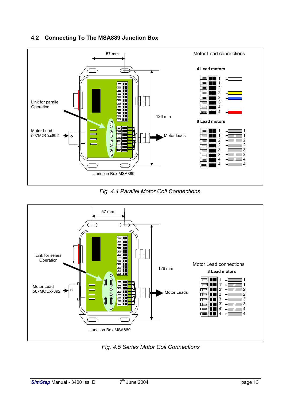## <span id="page-13-0"></span>**4.2 Connecting To The MSA889 Junction Box**



*Fig. 4.4 Parallel Motor Coil Connections* 



*Fig. 4.5 Series Motor Coil Connections*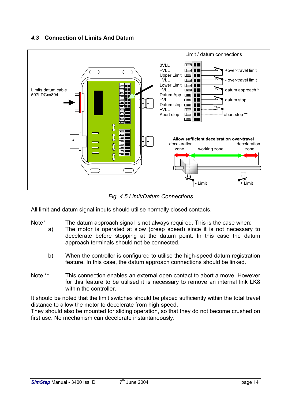## <span id="page-14-0"></span>*4.3* **Connection of Limits And Datum**



*Fig. 4.5 Limit/Datum Connections*

All limit and datum signal inputs should utilise normally closed contacts.

- Note<sup>\*</sup> The datum approach signal is not always required. This is the case when:
	- a) The motor is operated at slow (creep speed) since it is not necessary to decelerate before stopping at the datum point. In this case the datum approach terminals should not be connected.
		- b) When the controller is configured to utilise the high-speed datum registration feature. In this case, the datum approach connections should be linked.
- Note \*\* This connection enables an external open contact to abort a move. However for this feature to be utilised it is necessary to remove an internal link LK8 within the controller.

It should be noted that the limit switches should be placed sufficiently within the total travel distance to allow the motor to decelerate from high speed.

They should also be mounted for sliding operation, so that they do not become crushed on first use. No mechanism can decelerate instantaneously.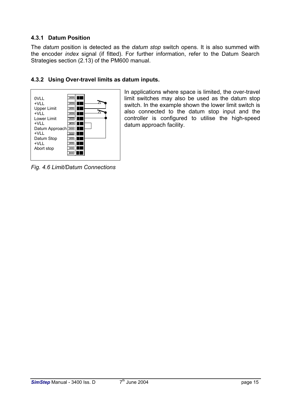## <span id="page-15-0"></span>**4.3.1 Datum Position**

The *datum* position is detected as the *datum stop* switch opens. It is also summed with the encoder *index* signal (if fitted). For further information, refer to the Datum Search Strategies section (2.13) of the PM600 manual.

## <span id="page-15-1"></span>**4.3.2 Using Over-travel limits as datum inputs.**



In applications where space is limited, the over-travel limit switches may also be used as the datum stop switch. In the example shown the lower limit switch is also connected to the datum stop input and the controller is configured to utilise the high-speed datum approach facility.

*Fig. 4.6 Limit/Datum Connections*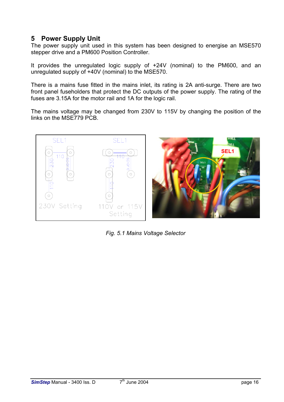## <span id="page-16-0"></span>**5 Power Supply Unit**

The power supply unit used in this system has been designed to energise an MSE570 stepper drive and a PM600 Position Controller.

It provides the unregulated logic supply of +24V (nominal) to the PM600, and an unregulated supply of +40V (nominal) to the MSE570.

There is a mains fuse fitted in the mains inlet, its rating is 2A anti-surge. There are two front panel fuseholders that protect the DC outputs of the power supply. The rating of the fuses are 3.15A for the motor rail and 1A for the logic rail.

The mains voltage may be changed from 230V to 115V by changing the position of the links on the MSE779 PCB.





*Fig. 5.1 Mains Voltage Selector*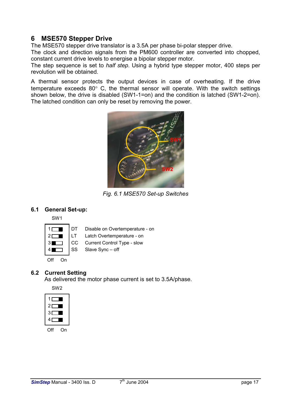## <span id="page-17-0"></span>**6 MSE570 Stepper Drive**

The MSE570 stepper drive translator is a 3.5A per phase bi-polar stepper drive.

The clock and direction signals from the PM600 controller are converted into chopped, constant current drive levels to energise a bipolar stepper motor.

The step sequence is set to *half step*. Using a hybrid type stepper motor, 400 steps per revolution will be obtained.

A thermal sensor protects the output devices in case of overheating. If the drive temperature exceeds 80° C, the thermal sensor will operate. With the switch settings shown below, the drive is disabled (SW1-1=on) and the condition is latched (SW1-2=on). The latched condition can only be reset by removing the power.



*Fig. 6.1 MSE570 Set-up Switches*

#### **6.1 General Set-up:**

<span id="page-17-1"></span>SW1



Disable on Overtemperature - on

Latch Overtemperature - on

CC Current Control Type - slow

Slave Sync – off

## **6.2 Current Setting**

 $\overline{\phantom{a}}$ 

<span id="page-17-2"></span>As delivered the motor phase current is set to 3.5A/phase.

| SW2        |   |
|------------|---|
| 1<br>┌─    |   |
| 2Γ         |   |
| $3\square$ |   |
| 4Γ         |   |
| Off        | n |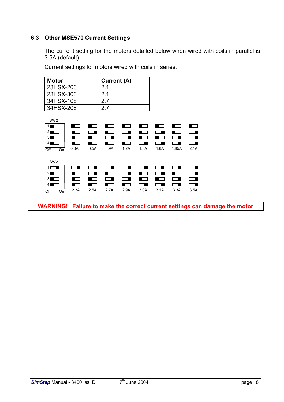## **6.3 Other MSE570 Current Settings**

<span id="page-18-0"></span>The current setting for the motors detailed below when wired with coils in parallel is 3.5A (default).

Current settings for motors wired with coils in series.

| <b>Motor</b> | Current (A)    |
|--------------|----------------|
| 23HSX-206    | 21             |
| 23HSX-306    | 2 <sub>1</sub> |
| 34HSX-108    | 27             |
| 34HSX-208    | 27             |

| SW <sub>2</sub>                                                                                                     |                  |                    |                          |                 |                  |      |           |                          |
|---------------------------------------------------------------------------------------------------------------------|------------------|--------------------|--------------------------|-----------------|------------------|------|-----------|--------------------------|
| 1 <sub>1</sub><br>$\blacksquare$                                                                                    |                  |                    |                          |                 |                  |      |           | <b>Contract Contract</b> |
| $\overline{2}$<br><b>The Company</b>                                                                                |                  |                    |                          |                 | . .              |      |           |                          |
| 31<br>and the state                                                                                                 | a sa sa          |                    |                          |                 |                  |      | a sa      | $\Box$                   |
| 4                                                                                                                   |                  | l 1                | . .                      | . .             |                  |      |           |                          |
| Off<br>On                                                                                                           | 0.0A             | 0.5A               | 0.9A                     | 1.2A            | 1.3A             | 1.6A | 1.85A     | 2.1A                     |
|                                                                                                                     |                  |                    |                          |                 |                  |      |           |                          |
| SW <sub>2</sub>                                                                                                     |                  |                    |                          |                 |                  |      |           |                          |
| $\overline{1}$                                                                                                      |                  |                    |                          |                 |                  |      |           |                          |
| 21<br>a series de la propiedad de la concerción de la concerción de la concerción de la concerción de la concerción | and the contract |                    | ■ !                      | <b>Contract</b> | . .              |      | . .       | $\Box$                   |
| 31<br>and the state                                                                                                 | . .              | <b>State State</b> |                          | $\blacksquare$  | and the contract |      | $\sim$ 10 | ▔∎                       |
| 4<br><b>Contract Contract</b>                                                                                       |                  |                    | <b>Contract Contract</b> | . .             | - 1              |      |           | $\Box$                   |
|                                                                                                                     |                  |                    |                          |                 |                  |      |           |                          |
| Off<br>On                                                                                                           | 2.3A             | 2.5A               | 2.7A                     | 2.9A            | 3.0A             | 3.1A | 3.3A      | 3.5A                     |

**WARNING! Failure to make the correct current settings can damage the motor**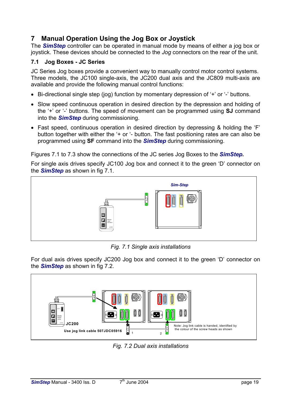## <span id="page-19-0"></span>**7 Manual Operation Using the Jog Box or Joystick**

The *SimStep* controller can be operated in manual mode by means of either a jog box or joystick. These devices should be connected to the *Jog* connectors on the rear of the unit.

## <span id="page-19-1"></span>**7.1 Jog Boxes - JC Series**

JC Series Jog boxes provide a convenient way to manually control motor control systems. Three models, the JC100 single-axis, the JC200 dual axis and the JC809 multi-axis are available and provide the following manual control functions:

- Bi-directional single step (jog) function by momentary depression of '+' or '-' buttons.
- Slow speed continuous operation in desired direction by the depression and holding of the '+' or '-' buttons. The speed of movement can be programmed using **SJ** command into the *SimStep* during commissioning.
- Fast speed, continuous operation in desired direction by depressing & holding the 'F' button together with either the '+ or '- button. The fast positioning rates are can also be programmed using **SF** command into the *SimStep* during commissioning.

Figures 7.1 to 7.3 show the connections of the JC series Jog Boxes to the *SimStep.*

For single axis drives specify JC100 Jog box and connect it to the green 'D' connector on the *SimStep* as shown in fig 7.1.



*Fig. 7.1 Single axis installations*

For dual axis drives specify JC200 Jog box and connect it to the green 'D' connector on the *SimStep* as shown in fig 7.2.



*Fig. 7.2 Dual axis installations*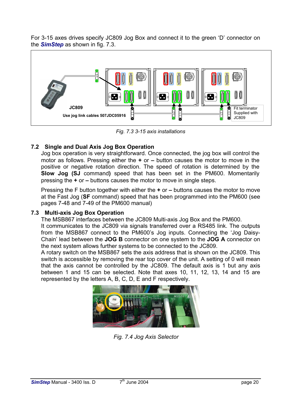For 3-15 axes drives specify JC809 Jog Box and connect it to the green 'D' connector on the *SimStep* as shown in fig. 7.3.



*Fig. 7.3 3-15 axis installations*

## **7.2 Single and Dual Axis Jog Box Operation**

<span id="page-20-0"></span>Jog box operation is very straightforward. Once connected, the jog box will control the motor as follows. Pressing either the **+** or **–** button causes the motor to move in the positive or negative rotation direction. The speed of rotation is determined by the **Slow Jog (SJ** command**)** speed that has been set in the PM600. Momentarily pressing the **+** or **–** buttons causes the motor to move in single steps.

Pressing the F button together with either the **+** or **–** buttons causes the motor to move at the Fast Jog (**SF** command) speed that has been programmed into the PM600 (see pages 7-48 and 7-49 of the PM600 manual)

#### **7.3 Multi-axis Jog Box Operation**

<span id="page-20-1"></span>The MSB867 interfaces between the JC809 Multi-axis Jog Box and the PM600.

It communicates to the JC809 via signals transferred over a RS485 link. The outputs from the MSB867 connect to the PM600's Jog inputs. Connecting the 'Jog Daisy-Chain' lead between the **JOG B** connector on one system to the **JOG A** connector on the next system allows further systems to be connected to the JC809.

A rotary switch on the MSB867 sets the axis address that is shown on the JC809. This switch is accessible by removing the rear top cover of the unit. A setting of 0 will mean that the axis cannot be controlled by the JC809. The default axis is 1 but any axis between 1 and 15 can be selected. Note that axes 10, 11, 12, 13, 14 and 15 are represented by the letters A, B, C, D, E and F respectively.



*Fig. 7.4 Jog Axis Selector*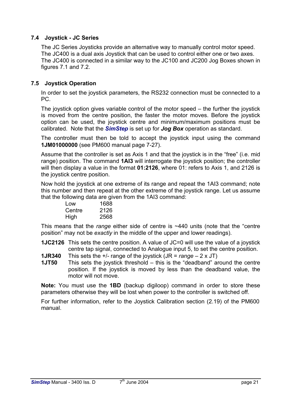## **7.4 Joystick - JC Series**

<span id="page-21-0"></span>The JC Series Joysticks provide an alternative way to manually control motor speed. The JC400 is a dual axis Joystick that can be used to control either one or two axes. The JC400 is connected in a similar way to the JC100 and JC200 Jog Boxes shown in figures 7.1 and 7.2.

## **7.5 Joystick Operation**

<span id="page-21-1"></span>In order to set the joystick parameters, the RS232 connection must be connected to a PC.

The joystick option gives variable control of the motor speed – the further the joystick is moved from the centre position, the faster the motor moves. Before the joystick option can be used, the joystick centre and minimum/maximum positions must be calibrated. Note that the *SimStep* is set up for *Jog Box* operation as standard.

The controller must then be told to accept the joystick input using the command **1JM01000000** (see PM600 manual page 7-27).

Assume that the controller is set as Axis 1 and that the joystick is in the "free" (i.e. mid range) position. The command **1AI3** will interrogate the joystick position; the controller will then display a value in the format **01:2126**, where 01: refers to Axis 1, and 2126 is the joystick centre position.

Now hold the joystick at one extreme of its range and repeat the 1AI3 command; note this number and then repeat at the other extreme of the joystick range. Let us assume that the following data are given from the 1AI3 command:

| Low    | 1688 |
|--------|------|
| Centre | 2126 |
| High   | 2568 |

This means that the *range* either side of centre is ~440 units (note that the "centre position" may not be *exactly* in the middle of the upper and lower readings).

**1JC2126** This sets the centre position. A value of JC=0 will use the value of a joystick centre tap signal, connected to Analogue input 5, to set the centre position.

- **1JR340** This sets the +/- range of the joystick (JR = *range* 2 x JT)
- **1JT50** This sets the joystick threshold this is the "deadband" around the centre position. If the joystick is moved by less than the deadband value, the motor will not move.

**Note:** You must use the **1BD** (backup digiloop) command in order to store these parameters otherwise they will be lost when power to the controller is switched off.

For further information, refer to the Joystick Calibration section (2.19) of the PM600 manual.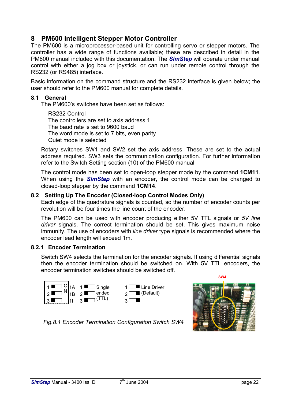## <span id="page-22-0"></span>**8 PM600 Intelligent Stepper Motor Controller**

The PM600 is a microprocessor-based unit for controlling servo or stepper motors. The controller has a wide range of functions available; these are described in detail in the PM600 manual included with this documentation. The *SimStep* will operate under manual control with either a jog box or joystick, or can run under remote control through the RS232 (or RS485) interface.

Basic information on the command structure and the RS232 interface is given below; the user should refer to the PM600 manual for complete details.

#### **8.1 General**

<span id="page-22-1"></span>The PM600's switches have been set as follows:

RS232 Control The controllers are set to axis address 1 The baud rate is set to 9600 baud The word mode is set to 7 bits, even parity Quiet mode is selected

Rotary switches SW1 and SW2 set the axis address. These are set to the actual address required. SW3 sets the communication configuration. For further information refer to the Switch Setting section (10) of the PM600 manual

The control mode has been set to open-loop stepper mode by the command **1CM11**. When using the *SimStep* with an encoder, the control mode can be changed to closed-loop stepper by the command **1CM14**.

#### **8.2 Setting Up The Encoder (Closed-loop Control Modes Only)**

<span id="page-22-2"></span>Each edge of the quadrature signals is counted, so the number of encoder counts per revolution will be four times the line count of the encoder.

The PM600 can be used with encoder producing either 5V TTL signals or *5V line driver* signals. The correct termination should be set. This gives maximum noise immunity. The use of encoders with *line driver* type signals is recommended where the encoder lead length will exceed 1m.

#### **8.2.1 Encoder Termination**

<span id="page-22-3"></span>Switch SW4 selects the termination for the encoder signals. If using differential signals then the encoder termination should be switched on. With 5V TTL encoders, the encoder termination switches should be switched off.





*Fig.8.1 Encoder Termination Configuration Switch SW4*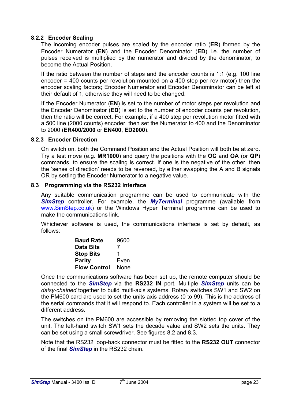## **8.2.2 Encoder Scaling**

<span id="page-23-0"></span>The incoming encoder pulses are scaled by the encoder ratio (**ER**) formed by the Encoder Numerator (**EN**) and the Encoder Denominator (**ED**) i.e. the number of pulses received is multiplied by the numerator and divided by the denominator, to become the Actual Position.

If the ratio between the number of steps and the encoder counts is 1:1 (e.g. 100 line encoder = 400 counts per revolution mounted on a 400 step per rev motor) then the encoder scaling factors; Encoder Numerator and Encoder Denominator can be left at their default of 1, otherwise they will need to be changed.

If the Encoder Numerator (**EN**) is set to the number of motor steps per revolution and the Encoder Denominator (**ED**) is set to the number of encoder counts per revolution, then the ratio will be correct. For example, if a 400 step per revolution motor fitted with a 500 line (2000 counts) encoder, then set the Numerator to 400 and the Denominator to 2000 (**ER400/2000** or **EN400, ED2000**).

#### **8.2.3 Encoder Direction**

<span id="page-23-1"></span>On switch on, both the Command Position and the Actual Position will both be at zero. Try a test move (e.g. **MR1000**) and query the positions with the **OC** and **OA** (or **QP**) commands, to ensure the scaling is correct. If one is the negative of the other, then the 'sense of direction' needs to be reversed, by either swapping the A and B signals OR by setting the Encoder Numerator to a negative value.

#### **8.3 Programming via the RS232 Interface**

<span id="page-23-2"></span>Any suitable communication programme can be used to communicate with the **SimStep** controller. For example, the *MyTerminal* programme (available from [www.SimStep.co.uk\)](http://www.sim-step.co.uk/) or the Windows Hyper Terminal programme can be used to make the communications link.

Whichever software is used, the communications interface is set by default, as follows:

| <b>Baud Rate</b>    | 9600 |
|---------------------|------|
| <b>Data Bits</b>    | 7    |
| <b>Stop Bits</b>    | 1    |
| <b>Parity</b>       | Even |
| <b>Flow Control</b> | None |

Once the communications software has been set up, the remote computer should be connected to the *SimStep* via the **RS232 IN** port. Multiple *SimStep* units can be *daisy-chained* together to build multi-axis systems. Rotary switches SW1 and SW2 on the PM600 card are used to set the units axis address (0 to 99). This is the address of the serial commands that it will respond to. Each controller in a system will be set to a different address.

The switches on the PM600 are accessible by removing the slotted top cover of the unit. The left-hand switch SW1 sets the decade value and SW2 sets the units. They can be set using a small screwdriver. See figures 8.2 and 8.3.

Note that the RS232 loop-back connector must be fitted to the **RS232 OUT** connector of the final *SimStep* in the RS232 chain.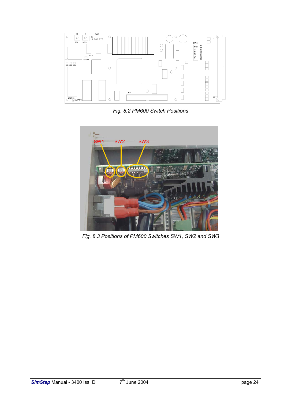

*Fig. 8.2 PM600 Switch Positions*



*Fig. 8.3 Positions of PM600 Switches SW1, SW2 and SW3*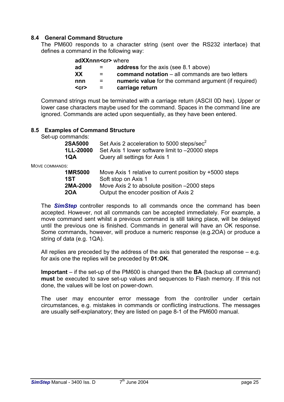### **8.4 General Command Structure**

<span id="page-25-0"></span>The PM600 responds to a character string (sent over the RS232 interface) that defines a command in the following way:

#### **adXXnnn<cr>** where

| ad         | $\equiv$ $\equiv$ | <b>address</b> for the axis (see 8.1 above)            |
|------------|-------------------|--------------------------------------------------------|
| XX         | $\equiv$ $\equiv$ | <b>command notation</b> – all commands are two letters |
| nnn        |                   | numeric value for the command argument (if required)   |
| $<$ cr $>$ | $=$               | carriage return                                        |

Command strings must be terminated with a carriage return (ASCII 0D hex). Upper or lower case characters maybe used for the command. Spaces in the command line are ignored. Commands are acted upon sequentially, as they have been entered.

#### **8.5 Examples of Command Structure**

<span id="page-25-1"></span>Set-up commands:

| 2SA5000 | Set Axis 2 acceleration to 5000 steps/sec <sup>2</sup>           |
|---------|------------------------------------------------------------------|
|         | <b>1LL-20000</b> Set Axis 1 lower software limit to -20000 steps |
| 1QA     | Query all settings for Axis 1                                    |

MOVE COMMANDS:

| <b>1MR5000</b> | Move Axis 1 relative to current position by +5000 steps |
|----------------|---------------------------------------------------------|
| 1ST            | Soft stop on Axis 1                                     |
| 2MA-2000       | Move Axis 2 to absolute position -2000 steps            |
| <b>20A</b>     | Output the encoder position of Axis 2                   |

The *SimStep* controller responds to all commands once the command has been accepted. However, not all commands can be accepted immediately. For example, a move command sent whilst a previous command is still taking place, will be delayed until the previous one is finished. Commands in general will have an OK response. Some commands, however, will produce a numeric response (e.g.2OA) or produce a string of data (e.g. 1QA).

All replies are preceded by the address of the axis that generated the response – e.g. for axis one the replies will be preceded by **01:OK**.

**Important** – if the set-up of the PM600 is changed then the **BA** (backup all command) **must** be executed to save set-up values and sequences to Flash memory. If this not done, the values will be lost on power-down.

The user may encounter error message from the controller under certain circumstances, e.g. mistakes in commands or conflicting instructions. The messages are usually self-explanatory; they are listed on page 8-1 of the PM600 manual.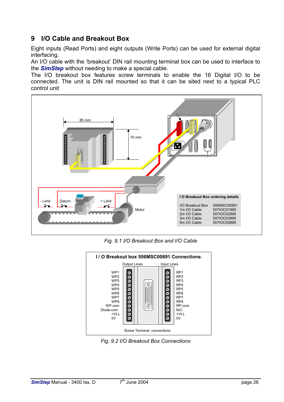## <span id="page-26-0"></span>**9 I/O Cable and Breakout Box**

Eight inputs (Read Ports) and eight outputs (Write Ports) can be used for external digital interfacing.

An I/O cable with the 'breakout' DIN rail mounting terminal box can be used to interface to the *SimStep* without needing to make a special cable.

The I/O breakout box features screw terminals to enable the 16 Digital I/O to be connected. The unit is DIN rail mounted so that it can be sited next to a typical PLC control unit



*Fig. 9.1 I/O Breakout Box and I/O Cable*



*Fig. 9.2 I/O Breakout Box Connections*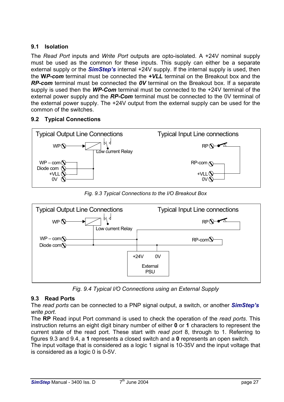## <span id="page-27-0"></span>**9.1 Isolation**

The *Read Port* inputs and *Write Port* outputs are opto-isolated. A +24V nominal supply must be used as the common for these inputs. This supply can either be a separate external supply or the *SimStep's* internal +24V supply. If the internal supply is used, then the **W***P-com* terminal must be connected the *+VLL* terminal on the Breakout box and the *RP-com* terminal must be connected the *0V* terminal on the Breakout box. If a separate supply is used then the *WP-Com* terminal must be connected to the +24V terminal of the external power supply and the *RP-Com* terminal must be connected to the 0V terminal of the external power supply. The +24V output from the external supply can be used for the common of the switches.

## <span id="page-27-1"></span>**9.2 Typical Connections**



*Fig. 9.3 Typical Connections to the I/O Breakout Box*



*Fig. 9.4 Typical I/O Connections using an External Supply*

## <span id="page-27-2"></span>**9.3 Read Ports**

The *read ports* can be connected to a PNP signal output, a switch, or another *SimStep's write port*.

The **RP** Read input Port command is used to check the operation of the *read ports*. This instruction returns an eight digit binary number of either **0** or **1** characters to represent the current state of the read port. These start with *read port* 8, through to 1. Referring to figures 9.3 and 9.4, a **1** represents a closed switch and a **0** represents an open switch. The input voltage that is considered as a logic 1 signal is 10-35V and the input voltage that

is considered as a logic 0 is 0-5V.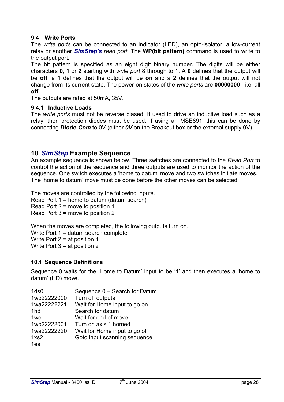## <span id="page-28-0"></span>**9.4 Write Ports**

The *write ports* can be connected to an indicator (LED), an opto-isolator, a low-current relay or another *SimStep's read port*. The **WP(bit pattern)** command is used to write to the output port*.*

The bit pattern is specified as an eight digit binary number. The digits will be either characters **0, 1** or **2** starting with *write port* 8 through to 1. A **0** defines that the output will be **off**, a **1** defines that the output will be **on** and a **2** defines that the output will not change from its current state. The power-on states of the *write ports* are **00000000** - i.e. all **off**.

The outputs are rated at 50mA, 35V.

#### <span id="page-28-1"></span>**9.4.1 Inductive Loads**

The *write ports* must not be reverse biased. If used to drive an inductive load such as a relay, then protection diodes must be used. If using an MSE891, this can be done by connecting *Diode-Com* to 0V (either *0V* on the Breakout box or the external supply 0V).

## <span id="page-28-2"></span>**10** *SimStep* **Example Sequence**

An example sequence is shown below. Three switches are connected to the *Read Port* to control the action of the sequence and three outputs are used to monitor the action of the sequence. One switch executes a 'home to datum' move and two switches initiate moves. The 'home to datum' move must be done before the other moves can be selected.

The moves are controlled by the following inputs. Read Port 1 = home to datum (datum search) Read Port 2 = move to position 1 Read Port 3 = move to position 2

When the moves are completed, the following outputs turn on. Write Port 1 = datum search complete Write Port 2 = at position 1 Write Port 3 = at position 2

#### <span id="page-28-3"></span>**10.1 Sequence Definitions**

Sequence 0 waits for the 'Home to Datum' input to be '1' and then executes a 'home to datum' (HD) move.

| 1 <sub>ds0</sub>  | Sequence 0 - Search for Datum |
|-------------------|-------------------------------|
| 1wp22222000       | Turn off outputs              |
| 1wa22222221       | Wait for Home input to go on  |
| 1hd               | Search for datum              |
| 1 <sub>we</sub>   | Wait for end of move          |
| 1wp22222001       | Turn on axis 1 homed          |
| 1wa22222220       | Wait for Home input to go off |
| 1x <sub>S</sub> 2 | Goto input scanning sequence  |
| 1es               |                               |
|                   |                               |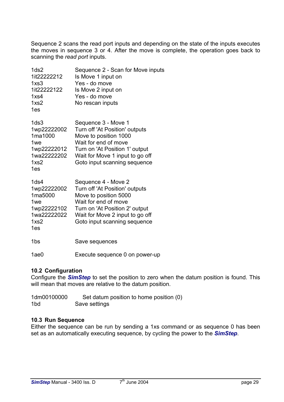Sequence 2 scans the read port inputs and depending on the state of the inputs executes the moves in sequence 3 or 4. After the move is complete, the operation goes back to scanning the *read port* inputs.

| 1 <sub>ds2</sub><br>1it22222212<br>1x <sub>S</sub> 3<br>1it22222122<br>1x <sub>S</sub> 4<br>1x <sub>S</sub> 2 | Sequence 2 - Scan for Move inputs<br>Is Move 1 input on<br>Yes - do move<br>Is Move 2 input on<br>Yes - do move<br>No rescan inputs                                                                         |
|---------------------------------------------------------------------------------------------------------------|-------------------------------------------------------------------------------------------------------------------------------------------------------------------------------------------------------------|
| 1es                                                                                                           |                                                                                                                                                                                                             |
| 1 <sub>ds3</sub><br>1wp22222002<br>1ma1000<br>1we<br>1wp22222012<br>1wa22222202<br>1x <sub>S</sub> 2<br>1es   | Sequence 3 - Move 1<br>Turn off 'At Position' outputs<br>Move to position 1000<br>Wait for end of move<br>Turn on 'At Position 1' output<br>Wait for Move 1 input to go off<br>Goto input scanning sequence |
| 1ds4                                                                                                          | Sequence 4 - Move 2                                                                                                                                                                                         |

| 10S4              | Sequence 4 - Move 2             |
|-------------------|---------------------------------|
| 1wp22222002       | Turn off 'At Position' outputs  |
| 1ma5000           | Move to position 5000           |
| 1 <sub>we</sub>   | Wait for end of move            |
| 1wp22222102       | Turn on 'At Position 2' output  |
| 1wa22222022       | Wait for Move 2 input to go off |
| 1x <sub>S</sub> 2 | Goto input scanning sequence    |
| 1es               |                                 |
|                   |                                 |

1bs Save sequences

1ae0 Execute sequence 0 on power-up

#### <span id="page-29-0"></span>**10.2 Configuration**

Configure the *SimStep* to set the position to zero when the datum position is found. This will mean that moves are relative to the datum position.

| 1dm00100000 | Set datum position to home position (0) |
|-------------|-----------------------------------------|
| 1bd         | Save settings                           |

#### <span id="page-29-1"></span>**10.3 Run Sequence**

Either the sequence can be run by sending a 1xs command or as sequence 0 has been set as an automatically executing sequence, by cycling the power to the *SimStep*.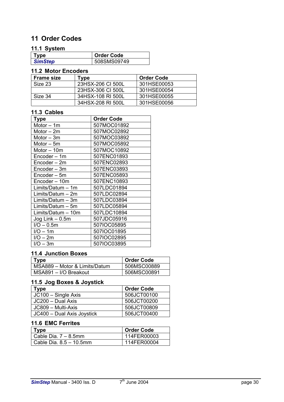## <span id="page-30-0"></span>**11 Order Codes**

## <span id="page-30-1"></span>**11.1 System**

| Type           | Order Code  |
|----------------|-------------|
| <b>SimStep</b> | 508SMS09749 |

## <span id="page-30-2"></span>**11.2 Motor Encoders**

| <b>Frame size</b> | Type              | <b>Order Code</b> |
|-------------------|-------------------|-------------------|
| Size 23           | 23HSX-206 CI 500L | 301HSE00053       |
|                   | 23HSX-306 CI 500L | 301HSE00054       |
| Size 34           | 34HSX-108 RI 500L | 301HSE00055       |
|                   | 34HSX-208 RI 500L | 301HSE00056       |

#### <span id="page-30-3"></span>**11.3 Cables**

| Type               | <b>Order Code</b> |
|--------------------|-------------------|
| Motor - 1m         | 507MOC01892       |
| Motor $-2m$        | 507MOC02892       |
| Motor – 3m         | 507MOC03892       |
| Motor – 5m         | 507MOC05892       |
| Motor - 10m        | 507MOC10892       |
| Encoder - 1m       | 507ENC01893       |
| Encoder - 2m       | 507ENC02893       |
| Encoder - 3m       | 507ENC03893       |
| Encoder - 5m       | 507ENC05893       |
| Encoder - 10m      | 507ENC10893       |
| Limits/Datum - 1m  | 507LDC01894       |
| Limits/Datum - 2m  | 507LDC02894       |
| Limits/Datum - 3m  | 507LDC03894       |
| Limits/Datum - 5m  | 507LDC05894       |
| Limits/Datum – 10m | 507LDC10894       |
| Jog Link – 0.5m    | 507JDC05916       |
| $I/O - 0.5m$       | 507IOC05895       |
| $I/O - 1m$         | 507IOC01895       |
| $I/O - 2m$         | 507IOC02895       |
| $I/O - 3m$         | 507IOC03895       |

## <span id="page-30-4"></span>**11.4 Junction Boxes**

| Type                          | <b>Order Code</b> |
|-------------------------------|-------------------|
| MSA889 - Motor & Limits/Datum | 506MSC00889       |
| MSA891 - I/O Breakout         | 506MSC00891       |

## <span id="page-30-5"></span>**11.5 Jog Boxes & Joystick**

| Type                       | <b>Order Code</b> |
|----------------------------|-------------------|
| JC100 - Single Axis        | 506JCT00100       |
| JC200 - Dual Axis          | 506JCT00200       |
| JC809 - Multi-Axis         | 506JCT00809       |
| JC400 - Dual Axis Joystick | 506JCT00400       |

## <span id="page-30-6"></span>**11.6 EMC Ferrites**

| Tvpe                       | <b>Order Code</b> |
|----------------------------|-------------------|
| Cable Dia. $7 - 8.5$ mm    | 114FER00003       |
| Cable Dia. $8.5 - 10.5$ mm | 114FER00004       |